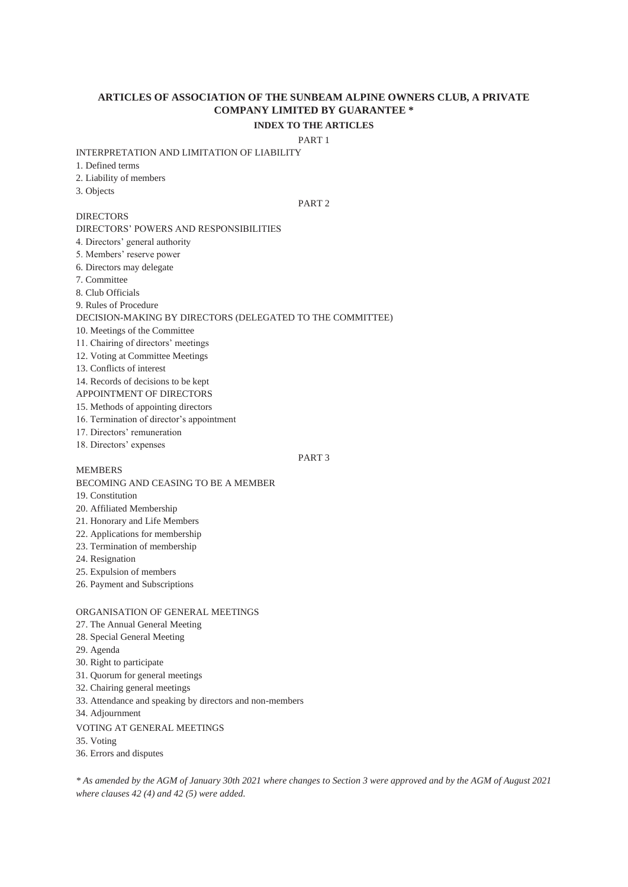# **ARTICLES OF ASSOCIATION OF THE SUNBEAM ALPINE OWNERS CLUB, A PRIVATE COMPANY LIMITED BY GUARANTEE \* INDEX TO THE ARTICLES**

# PART 1

#### INTERPRETATION AND LIMITATION OF LIABILITY

1. Defined terms

- 2. Liability of members
- 3. Objects

**DIRECTORS** 

# PART 2

DIRECTORS' POWERS AND RESPONSIBILITIES

- 4. Directors' general authority
- 5. Members' reserve power
- 6. Directors may delegate
- 7. Committee
- 8. Club Officials
- 9. Rules of Procedure

### DECISION-MAKING BY DIRECTORS (DELEGATED TO THE COMMITTEE)

- 10. Meetings of the Committee
- 11. Chairing of directors' meetings
- 12. Voting at Committee Meetings
- 13. Conflicts of interest
- 14. Records of decisions to be kept
- APPOINTMENT OF DIRECTORS
- 15. Methods of appointing directors
- 16. Termination of director's appointment
- 17. Directors' remuneration
- 18. Directors' expenses

## PART 3

BECOMING AND CEASING TO BE A MEMBER

19. Constitution

MEMBERS

- 20. Affiliated Membership
- 21. Honorary and Life Members
- 22. Applications for membership
- 23. Termination of membership
- 24. Resignation
- 25. Expulsion of members
- 26. Payment and Subscriptions

## ORGANISATION OF GENERAL MEETINGS

- 27. The Annual General Meeting
- 28. Special General Meeting
- 29. Agenda
- 30. Right to participate
- 31. Quorum for general meetings
- 32. Chairing general meetings
- 33. Attendance and speaking by directors and non-members
- 34. Adjournment

### VOTING AT GENERAL MEETINGS

35. Voting

36. Errors and disputes

*\* As amended by the AGM of January 30th 2021 where changes to Section 3 were approved and by the AGM of August 2021 where clauses 42 (4) and 42 (5) were added.*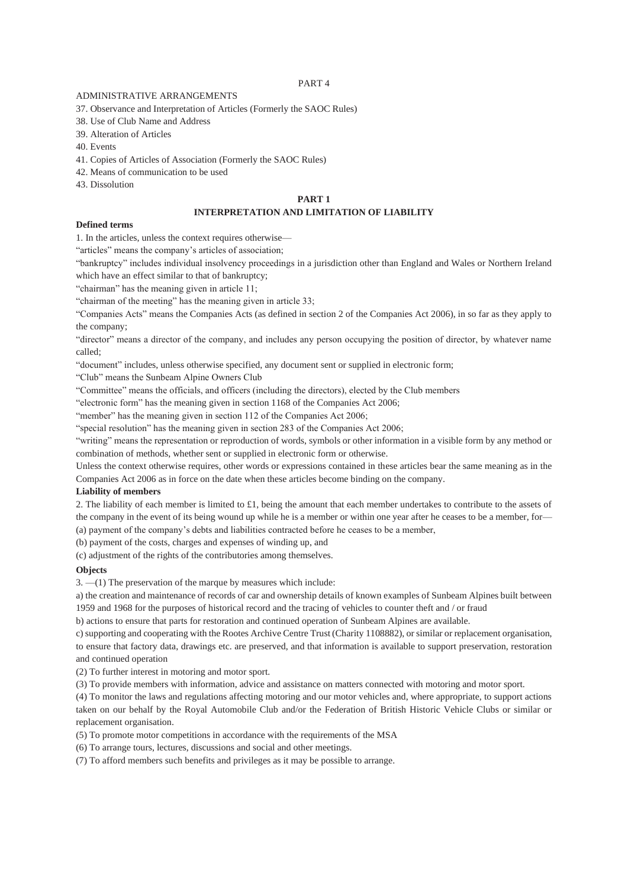### PART 4

### ADMINISTRATIVE ARRANGEMENTS

37. Observance and Interpretation of Articles (Formerly the SAOC Rules)

38. Use of Club Name and Address

39. Alteration of Articles

40. Events

41. Copies of Articles of Association (Formerly the SAOC Rules)

42. Means of communication to be used

43. Dissolution

# **PART 1**

# **INTERPRETATION AND LIMITATION OF LIABILITY**

# **Defined terms**

1. In the articles, unless the context requires otherwise—

"articles" means the company's articles of association;

"bankruptcy" includes individual insolvency proceedings in a jurisdiction other than England and Wales or Northern Ireland which have an effect similar to that of bankruptcy:

"chairman" has the meaning given in article 11;

"chairman of the meeting" has the meaning given in article 33;

"Companies Acts" means the Companies Acts (as defined in section 2 of the Companies Act 2006), in so far as they apply to the company;

"director" means a director of the company, and includes any person occupying the position of director, by whatever name called;

"document" includes, unless otherwise specified, any document sent or supplied in electronic form;

"Club" means the Sunbeam Alpine Owners Club

"Committee" means the officials, and officers (including the directors), elected by the Club members

"electronic form" has the meaning given in section 1168 of the Companies Act 2006;

"member" has the meaning given in section 112 of the Companies Act 2006;

"special resolution" has the meaning given in section 283 of the Companies Act 2006;

"writing" means the representation or reproduction of words, symbols or other information in a visible form by any method or combination of methods, whether sent or supplied in electronic form or otherwise.

Unless the context otherwise requires, other words or expressions contained in these articles bear the same meaning as in the Companies Act 2006 as in force on the date when these articles become binding on the company.

## **Liability of members**

2. The liability of each member is limited to £1, being the amount that each member undertakes to contribute to the assets of the company in the event of its being wound up while he is a member or within one year after he ceases to be a member, for— (a) payment of the company's debts and liabilities contracted before he ceases to be a member,

(b) payment of the costs, charges and expenses of winding up, and

(c) adjustment of the rights of the contributories among themselves.

## **Objects**

3. —(1) The preservation of the marque by measures which include:

a) the creation and maintenance of records of car and ownership details of known examples of Sunbeam Alpines built between 1959 and 1968 for the purposes of historical record and the tracing of vehicles to counter theft and / or fraud

b) actions to ensure that parts for restoration and continued operation of Sunbeam Alpines are available.

c) supporting and cooperating with the Rootes Archive Centre Trust (Charity 1108882), or similar or replacement organisation, to ensure that factory data, drawings etc. are preserved, and that information is available to support preservation, restoration and continued operation

(2) To further interest in motoring and motor sport.

(3) To provide members with information, advice and assistance on matters connected with motoring and motor sport.

(4) To monitor the laws and regulations affecting motoring and our motor vehicles and, where appropriate, to support actions taken on our behalf by the Royal Automobile Club and/or the Federation of British Historic Vehicle Clubs or similar or replacement organisation.

(5) To promote motor competitions in accordance with the requirements of the MSA

(6) To arrange tours, lectures, discussions and social and other meetings.

(7) To afford members such benefits and privileges as it may be possible to arrange.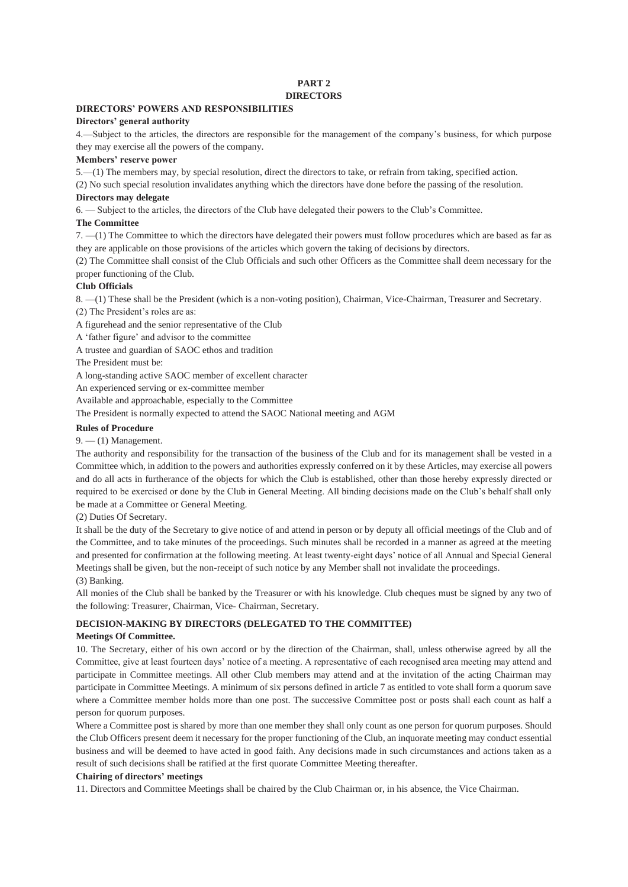# **PART 2**

# **DIRECTORS**

# **DIRECTORS' POWERS AND RESPONSIBILITIES**

### **Directors' general authority**

4.—Subject to the articles, the directors are responsible for the management of the company's business, for which purpose they may exercise all the powers of the company.

## **Members' reserve power**

5.—(1) The members may, by special resolution, direct the directors to take, or refrain from taking, specified action.

(2) No such special resolution invalidates anything which the directors have done before the passing of the resolution.

# **Directors may delegate**

6. — Subject to the articles, the directors of the Club have delegated their powers to the Club's Committee.

# **The Committee**

7. —(1) The Committee to which the directors have delegated their powers must follow procedures which are based as far as they are applicable on those provisions of the articles which govern the taking of decisions by directors.

(2) The Committee shall consist of the Club Officials and such other Officers as the Committee shall deem necessary for the proper functioning of the Club.

# **Club Officials**

8. —(1) These shall be the President (which is a non-voting position), Chairman, Vice-Chairman, Treasurer and Secretary. (2) The President's roles are as:

A figurehead and the senior representative of the Club

A 'father figure' and advisor to the committee

A trustee and guardian of SAOC ethos and tradition

The President must be:

A long-standing active SAOC member of excellent character

An experienced serving or ex-committee member

Available and approachable, especially to the Committee

The President is normally expected to attend the SAOC National meeting and AGM

# **Rules of Procedure**

 $9. - (1)$  Management.

The authority and responsibility for the transaction of the business of the Club and for its management shall be vested in a Committee which, in addition to the powers and authorities expressly conferred on it by these Articles, may exercise all powers and do all acts in furtherance of the objects for which the Club is established, other than those hereby expressly directed or required to be exercised or done by the Club in General Meeting. All binding decisions made on the Club's behalf shall only be made at a Committee or General Meeting.

(2) Duties Of Secretary.

It shall be the duty of the Secretary to give notice of and attend in person or by deputy all official meetings of the Club and of the Committee, and to take minutes of the proceedings. Such minutes shall be recorded in a manner as agreed at the meeting and presented for confirmation at the following meeting. At least twenty-eight days' notice of all Annual and Special General Meetings shall be given, but the non-receipt of such notice by any Member shall not invalidate the proceedings. (3) Banking.

All monies of the Club shall be banked by the Treasurer or with his knowledge. Club cheques must be signed by any two of the following: Treasurer, Chairman, Vice- Chairman, Secretary.

# **DECISION-MAKING BY DIRECTORS (DELEGATED TO THE COMMITTEE)**

## **Meetings Of Committee.**

10. The Secretary, either of his own accord or by the direction of the Chairman, shall, unless otherwise agreed by all the Committee, give at least fourteen days' notice of a meeting. A representative of each recognised area meeting may attend and participate in Committee meetings. All other Club members may attend and at the invitation of the acting Chairman may participate in Committee Meetings. A minimum of six persons defined in article 7 as entitled to vote shall form a quorum save where a Committee member holds more than one post. The successive Committee post or posts shall each count as half a person for quorum purposes.

Where a Committee post is shared by more than one member they shall only count as one person for quorum purposes. Should the Club Officers present deem it necessary for the proper functioning of the Club, an inquorate meeting may conduct essential business and will be deemed to have acted in good faith. Any decisions made in such circumstances and actions taken as a result of such decisions shall be ratified at the first quorate Committee Meeting thereafter.

## **Chairing of directors' meetings**

11. Directors and Committee Meetings shall be chaired by the Club Chairman or, in his absence, the Vice Chairman.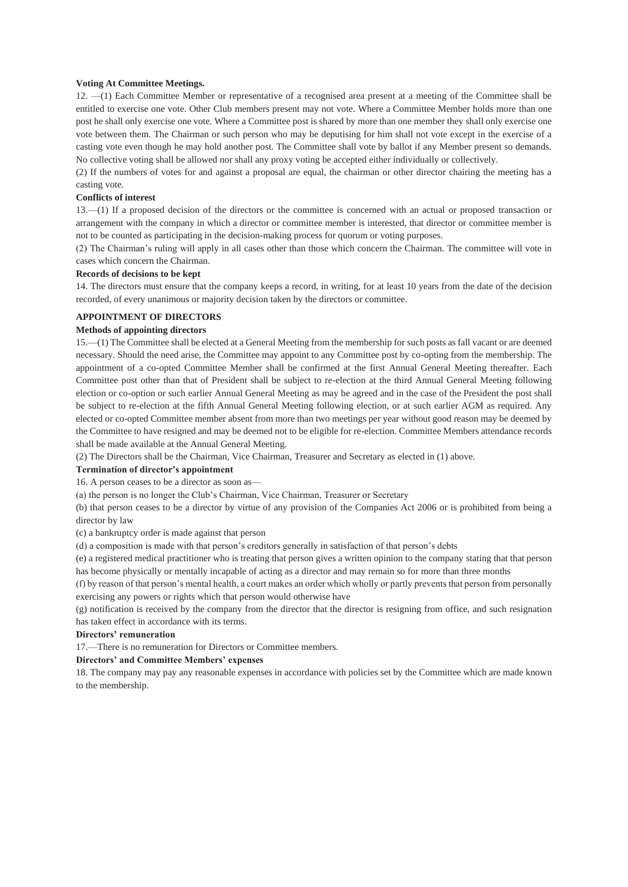### **Voting At Committee Meetings.**

12. —(1) Each Committee Member or representative of a recognised area present at a meeting of the Committee shall be entitled to exercise one vote. Other Club members present may not vote. Where a Committee Member holds more than one post he shall only exercise one vote. Where a Committee post is shared by more than one member they shall only exercise one vote between them. The Chairman or such person who may be deputising for him shall not vote except in the exercise of a casting vote even though he may hold another post. The Committee shall vote by ballot if any Member present so demands. No collective voting shall be allowed nor shall any proxy voting be accepted either individually or collectively.

(2) If the numbers of votes for and against a proposal are equal, the chairman or other director chairing the meeting has a casting vote.

#### **Conflicts of interest**

13.—(1) If a proposed decision of the directors or the committee is concerned with an actual or proposed transaction or arrangement with the company in which a director or committee member is interested, that director or committee member is not to be counted as participating in the decision-making process for quorum or voting purposes.

(2) The Chairman's ruling will apply in all cases other than those which concern the Chairman. The committee will vote in cases which concern the Chairman.

#### **Records of decisions to be kept**

14. The directors must ensure that the company keeps a record, in writing, for at least 10 years from the date of the decision recorded, of every unanimous or majority decision taken by the directors or committee.

## **APPOINTMENT OF DIRECTORS**

## **Methods of appointing directors**

15.—(1) The Committee shall be elected at a General Meeting from the membership for such posts as fall vacant or are deemed necessary. Should the need arise, the Committee may appoint to any Committee post by co-opting from the membership. The appointment of a co-opted Committee Member shall be confirmed at the first Annual General Meeting thereafter. Each Committee post other than that of President shall be subject to re-election at the third Annual General Meeting following election or co-option or such earlier Annual General Meeting as may be agreed and in the case of the President the post shall be subject to re-election at the fifth Annual General Meeting following election, or at such earlier AGM as required. Any elected or co-opted Committee member absent from more than two meetings per year without good reason may be deemed by the Committee to have resigned and may be deemed not to be eligible for re-election. Committee Members attendance records shall be made available at the Annual General Meeting.

(2) The Directors shall be the Chairman, Vice Chairman, Treasurer and Secretary as elected in (1) above.

#### **Termination of director's appointment**

16. A person ceases to be a director as soon as—

(a) the person is no longer the Club's Chairman, Vice Chairman, Treasurer or Secretary

(b) that person ceases to be a director by virtue of any provision of the Companies Act 2006 or is prohibited from being a director by law

(c) a bankruptcy order is made against that person

(d) a composition is made with that person's creditors generally in satisfaction of that person's debts

(e) a registered medical practitioner who is treating that person gives a written opinion to the company stating that that person has become physically or mentally incapable of acting as a director and may remain so for more than three months

(f) by reason of that person's mental health, a court makes an order which wholly or partly prevents that person from personally exercising any powers or rights which that person would otherwise have

(g) notification is received by the company from the director that the director is resigning from office, and such resignation has taken effect in accordance with its terms.

#### **Directors' remuneration**

17.—There is no remuneration for Directors or Committee members.

# **Directors' and Committee Members' expenses**

18. The company may pay any reasonable expenses in accordance with policies set by the Committee which are made known to the membership.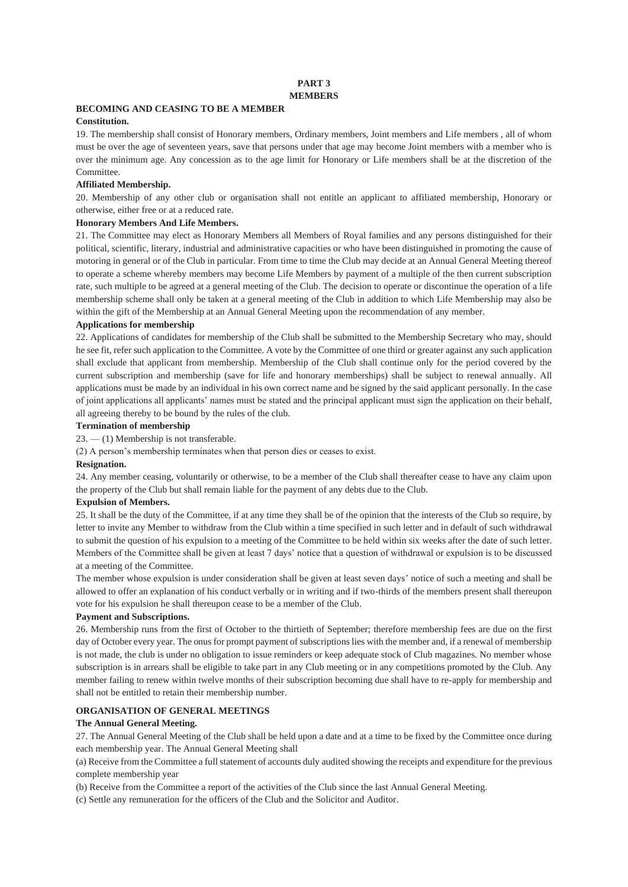### **PART 3 MEMBERS**

# **BECOMING AND CEASING TO BE A MEMBER**

# **Constitution.**

19. The membership shall consist of Honorary members, Ordinary members, Joint members and Life members , all of whom must be over the age of seventeen years, save that persons under that age may become Joint members with a member who is over the minimum age. Any concession as to the age limit for Honorary or Life members shall be at the discretion of the Committee.

## **Affiliated Membership.**

20. Membership of any other club or organisation shall not entitle an applicant to affiliated membership, Honorary or otherwise, either free or at a reduced rate.

### **Honorary Members And Life Members.**

21. The Committee may elect as Honorary Members all Members of Royal families and any persons distinguished for their political, scientific, literary, industrial and administrative capacities or who have been distinguished in promoting the cause of motoring in general or of the Club in particular. From time to time the Club may decide at an Annual General Meeting thereof to operate a scheme whereby members may become Life Members by payment of a multiple of the then current subscription rate, such multiple to be agreed at a general meeting of the Club. The decision to operate or discontinue the operation of a life membership scheme shall only be taken at a general meeting of the Club in addition to which Life Membership may also be within the gift of the Membership at an Annual General Meeting upon the recommendation of any member.

### **Applications for membership**

22. Applications of candidates for membership of the Club shall be submitted to the Membership Secretary who may, should he see fit, refer such application to the Committee. A vote by the Committee of one third or greater against any such application shall exclude that applicant from membership. Membership of the Club shall continue only for the period covered by the current subscription and membership (save for life and honorary memberships) shall be subject to renewal annually. All applications must be made by an individual in his own correct name and be signed by the said applicant personally. In the case of joint applications all applicants' names must be stated and the principal applicant must sign the application on their behalf, all agreeing thereby to be bound by the rules of the club.

### **Termination of membership**

23. — (1) Membership is not transferable.

(2) A person's membership terminates when that person dies or ceases to exist.

### **Resignation.**

24. Any member ceasing, voluntarily or otherwise, to be a member of the Club shall thereafter cease to have any claim upon the property of the Club but shall remain liable for the payment of any debts due to the Club.

## **Expulsion of Members.**

25. It shall be the duty of the Committee, if at any time they shall be of the opinion that the interests of the Club so require, by letter to invite any Member to withdraw from the Club within a time specified in such letter and in default of such withdrawal to submit the question of his expulsion to a meeting of the Committee to be held within six weeks after the date of such letter. Members of the Committee shall be given at least 7 days' notice that a question of withdrawal or expulsion is to be discussed at a meeting of the Committee.

The member whose expulsion is under consideration shall be given at least seven days' notice of such a meeting and shall be allowed to offer an explanation of his conduct verbally or in writing and if two-thirds of the members present shall thereupon vote for his expulsion he shall thereupon cease to be a member of the Club.

### **Payment and Subscriptions.**

26. Membership runs from the first of October to the thirtieth of September; therefore membership fees are due on the first day of October every year. The onus for prompt payment of subscriptions lies with the member and, if a renewal of membership is not made, the club is under no obligation to issue reminders or keep adequate stock of Club magazines. No member whose subscription is in arrears shall be eligible to take part in any Club meeting or in any competitions promoted by the Club. Any member failing to renew within twelve months of their subscription becoming due shall have to re-apply for membership and shall not be entitled to retain their membership number.

## **ORGANISATION OF GENERAL MEETINGS**

### **The Annual General Meeting.**

27. The Annual General Meeting of the Club shall be held upon a date and at a time to be fixed by the Committee once during each membership year. The Annual General Meeting shall

(a) Receive from the Committee a full statement of accounts duly audited showing the receipts and expenditure for the previous complete membership year

(b) Receive from the Committee a report of the activities of the Club since the last Annual General Meeting.

(c) Settle any remuneration for the officers of the Club and the Solicitor and Auditor.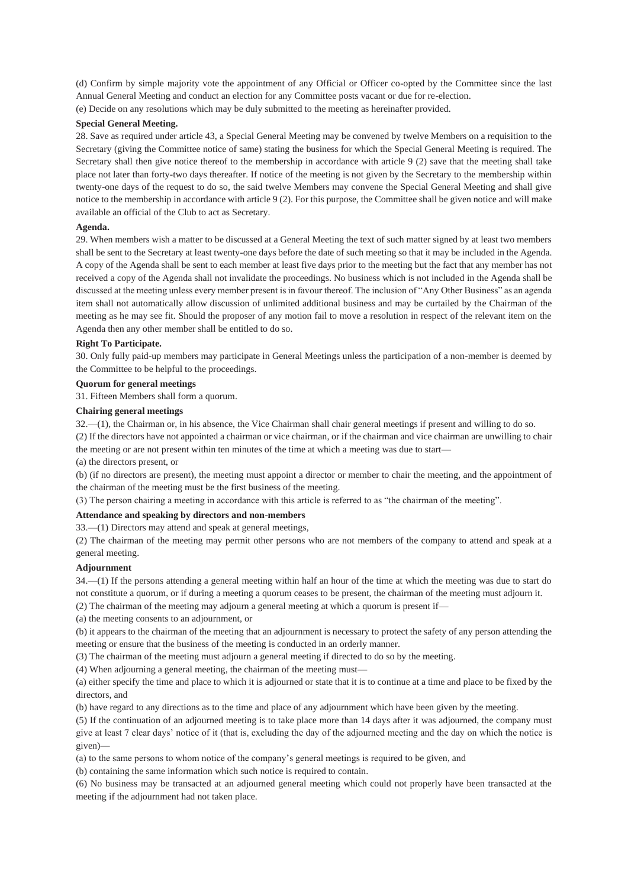(d) Confirm by simple majority vote the appointment of any Official or Officer co-opted by the Committee since the last Annual General Meeting and conduct an election for any Committee posts vacant or due for re-election. (e) Decide on any resolutions which may be duly submitted to the meeting as hereinafter provided.

## **Special General Meeting.**

28. Save as required under article 43, a Special General Meeting may be convened by twelve Members on a requisition to the Secretary (giving the Committee notice of same) stating the business for which the Special General Meeting is required. The Secretary shall then give notice thereof to the membership in accordance with article 9 (2) save that the meeting shall take place not later than forty-two days thereafter. If notice of the meeting is not given by the Secretary to the membership within twenty-one days of the request to do so, the said twelve Members may convene the Special General Meeting and shall give notice to the membership in accordance with article 9 (2). For this purpose, the Committee shall be given notice and will make available an official of the Club to act as Secretary.

# **Agenda.**

29. When members wish a matter to be discussed at a General Meeting the text of such matter signed by at least two members shall be sent to the Secretary at least twenty-one days before the date of such meeting so that it may be included in the Agenda. A copy of the Agenda shall be sent to each member at least five days prior to the meeting but the fact that any member has not received a copy of the Agenda shall not invalidate the proceedings. No business which is not included in the Agenda shall be discussed at the meeting unless every member present is in favour thereof. The inclusion of "Any Other Business" as an agenda item shall not automatically allow discussion of unlimited additional business and may be curtailed by the Chairman of the meeting as he may see fit. Should the proposer of any motion fail to move a resolution in respect of the relevant item on the Agenda then any other member shall be entitled to do so.

### **Right To Participate.**

30. Only fully paid-up members may participate in General Meetings unless the participation of a non-member is deemed by the Committee to be helpful to the proceedings.

### **Quorum for general meetings**

31. Fifteen Members shall form a quorum.

### **Chairing general meetings**

32.—(1), the Chairman or, in his absence, the Vice Chairman shall chair general meetings if present and willing to do so.

(2) If the directors have not appointed a chairman or vice chairman, or if the chairman and vice chairman are unwilling to chair the meeting or are not present within ten minutes of the time at which a meeting was due to start—

(a) the directors present, or

(b) (if no directors are present), the meeting must appoint a director or member to chair the meeting, and the appointment of the chairman of the meeting must be the first business of the meeting.

(3) The person chairing a meeting in accordance with this article is referred to as "the chairman of the meeting".

## **Attendance and speaking by directors and non-members**

33.—(1) Directors may attend and speak at general meetings,

(2) The chairman of the meeting may permit other persons who are not members of the company to attend and speak at a general meeting.

### **Adjournment**

34.—(1) If the persons attending a general meeting within half an hour of the time at which the meeting was due to start do not constitute a quorum, or if during a meeting a quorum ceases to be present, the chairman of the meeting must adjourn it.

(2) The chairman of the meeting may adjourn a general meeting at which a quorum is present if—

(a) the meeting consents to an adjournment, or

(b) it appears to the chairman of the meeting that an adjournment is necessary to protect the safety of any person attending the meeting or ensure that the business of the meeting is conducted in an orderly manner.

(3) The chairman of the meeting must adjourn a general meeting if directed to do so by the meeting.

(4) When adjourning a general meeting, the chairman of the meeting must—

(a) either specify the time and place to which it is adjourned or state that it is to continue at a time and place to be fixed by the directors, and

(b) have regard to any directions as to the time and place of any adjournment which have been given by the meeting.

(5) If the continuation of an adjourned meeting is to take place more than 14 days after it was adjourned, the company must give at least 7 clear days' notice of it (that is, excluding the day of the adjourned meeting and the day on which the notice is given)—

(a) to the same persons to whom notice of the company's general meetings is required to be given, and

(b) containing the same information which such notice is required to contain.

(6) No business may be transacted at an adjourned general meeting which could not properly have been transacted at the meeting if the adjournment had not taken place.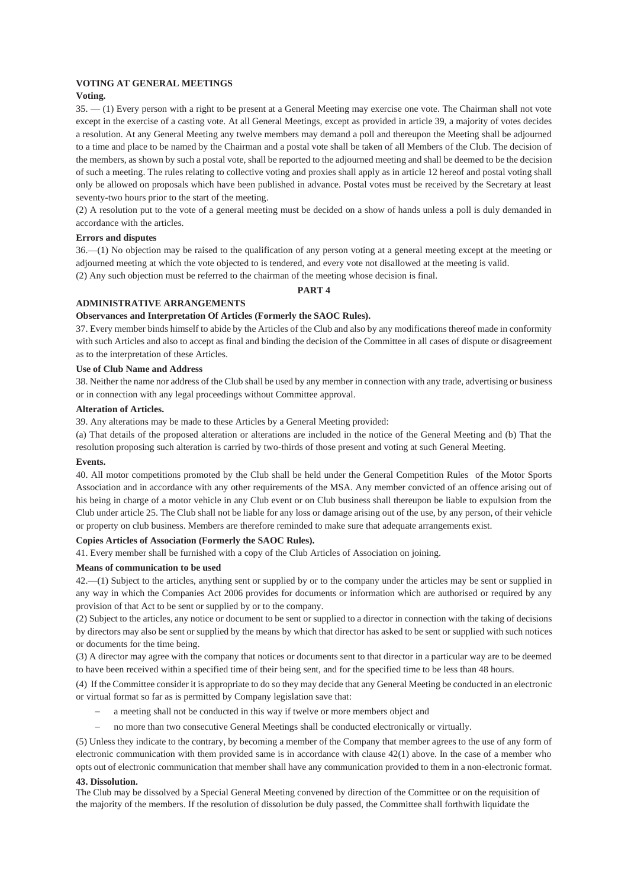### **VOTING AT GENERAL MEETINGS**

### **Voting.**

35. — (1) Every person with a right to be present at a General Meeting may exercise one vote. The Chairman shall not vote except in the exercise of a casting vote. At all General Meetings, except as provided in article 39, a majority of votes decides a resolution. At any General Meeting any twelve members may demand a poll and thereupon the Meeting shall be adjourned to a time and place to be named by the Chairman and a postal vote shall be taken of all Members of the Club. The decision of the members, as shown by such a postal vote, shall be reported to the adjourned meeting and shall be deemed to be the decision of such a meeting. The rules relating to collective voting and proxies shall apply as in article 12 hereof and postal voting shall only be allowed on proposals which have been published in advance. Postal votes must be received by the Secretary at least seventy-two hours prior to the start of the meeting.

(2) A resolution put to the vote of a general meeting must be decided on a show of hands unless a poll is duly demanded in accordance with the articles.

## **Errors and disputes**

36.—(1) No objection may be raised to the qualification of any person voting at a general meeting except at the meeting or adjourned meeting at which the vote objected to is tendered, and every vote not disallowed at the meeting is valid. (2) Any such objection must be referred to the chairman of the meeting whose decision is final.

### **PART 4**

### **ADMINISTRATIVE ARRANGEMENTS**

## **Observances and Interpretation Of Articles (Formerly the SAOC Rules).**

37. Every member binds himself to abide by the Articles of the Club and also by any modifications thereof made in conformity with such Articles and also to accept as final and binding the decision of the Committee in all cases of dispute or disagreement as to the interpretation of these Articles.

### **Use of Club Name and Address**

38. Neither the name nor address of the Club shall be used by any member in connection with any trade, advertising or business or in connection with any legal proceedings without Committee approval.

## **Alteration of Articles.**

39. Any alterations may be made to these Articles by a General Meeting provided:

(a) That details of the proposed alteration or alterations are included in the notice of the General Meeting and (b) That the resolution proposing such alteration is carried by two-thirds of those present and voting at such General Meeting.

### **Events.**

40. All motor competitions promoted by the Club shall be held under the General Competition Rules of the Motor Sports Association and in accordance with any other requirements of the MSA. Any member convicted of an offence arising out of his being in charge of a motor vehicle in any Club event or on Club business shall thereupon be liable to expulsion from the Club under article 25. The Club shall not be liable for any loss or damage arising out of the use, by any person, of their vehicle or property on club business. Members are therefore reminded to make sure that adequate arrangements exist.

### **Copies Articles of Association (Formerly the SAOC Rules).**

41. Every member shall be furnished with a copy of the Club Articles of Association on joining.

### **Means of communication to be used**

42.—(1) Subject to the articles, anything sent or supplied by or to the company under the articles may be sent or supplied in any way in which the Companies Act 2006 provides for documents or information which are authorised or required by any provision of that Act to be sent or supplied by or to the company.

(2) Subject to the articles, any notice or document to be sent or supplied to a director in connection with the taking of decisions by directors may also be sent or supplied by the means by which that director has asked to be sent or supplied with such notices or documents for the time being.

(3) A director may agree with the company that notices or documents sent to that director in a particular way are to be deemed to have been received within a specified time of their being sent, and for the specified time to be less than 48 hours.

(4) If the Committee consider it is appropriate to do so they may decide that any General Meeting be conducted in an electronic or virtual format so far as is permitted by Company legislation save that:

- a meeting shall not be conducted in this way if twelve or more members object and
- no more than two consecutive General Meetings shall be conducted electronically or virtually.

(5) Unless they indicate to the contrary, by becoming a member of the Company that member agrees to the use of any form of electronic communication with them provided same is in accordance with clause 42(1) above. In the case of a member who opts out of electronic communication that member shall have any communication provided to them in a non-electronic format.

### **43. Dissolution.**

The Club may be dissolved by a Special General Meeting convened by direction of the Committee or on the requisition of the majority of the members. If the resolution of dissolution be duly passed, the Committee shall forthwith liquidate the